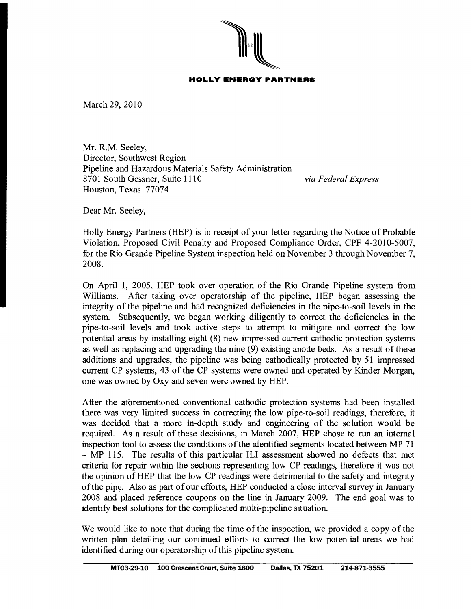

## **HOLLY ENERGY PARTNERS**

March 29, 2010

Mr. R.M. Seeley, Director, Southwest Region Pipeline and Hazardous Materials Safety Administration 8701 South Gessner, Suite 1110 *via Federal Express*  Houston, Texas 77074

Dear Mr. Seeley,

Holly Energy Partners (HEP) is in receipt of your letter regarding the Notice of Probable Violation, Proposed Civil Penalty and Proposed Compliance Order, CPF 4-2010-5007, for the Rio Grande Pipeline System inspection held on November 3 through November 7, 2008.

On April 1, 2005, HEP took over operation of the Rio Grande Pipeline system from Williams. After taking over operatorship of the pipeline, HEP began assessing the integrity of the pipeline and had recognized deficiencies in the pipe-to-soil levels in the system. Subsequently, we began working diligently to correct the deficiencies in the pipe-to-soil levels and took active steps to attempt to mitigate and correct the low potential areas by installing eight (8) new impressed current cathodic protection systems as well as replacing and upgrading the nine (9) existing anode beds. As a result of these additions and upgrades, the pipeline was being cathodically protected by 51 impressed current CP systems, 43 of the CP systems were owned and operated by Kinder Morgan, one was owned by Oxy and seven were owned by HEP.

After the aforementioned conventional cathodic protection systems had been installed there was very limited success in correcting the low pipe-to-soil readings, therefore, it was decided that a more in-depth study and engineering of the solution would be required. As a result of these decisions, in March 2007, HEP chose to run an internal inspection tool to assess the conditions of the identified segments located between MP 71 - MP 115. The results of this particular ILl assessment showed no defects that met criteria for repair within the sections representing low CP readings, therefore it was not the opinion of HEP that the low CP readings were detrimental to the safety and integrity ofthe pipe. Also as part ofour efforts, HEP conducted a close interval survey in January 2008 and placed reference coupons on the line in January 2009. The end goal was to identify best solutions for the complicated multi-pipeline situation.

We would like to note that during the time of the inspection, we provided a copy of the written plan detailing our continued efforts to correct the low potential areas we had identified during our operatorship of this pipeline system.